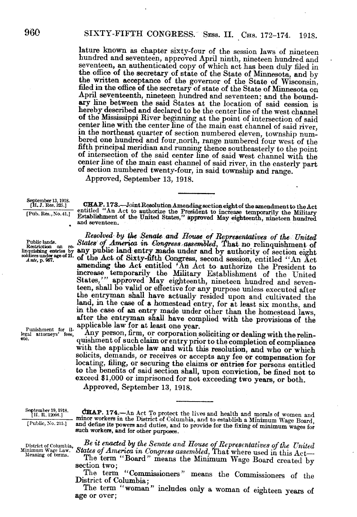lature known as chapter sixty-four of the session laws of nineteen hundred and seventeen, an authenticated copy of which act has been duly filed in the office of the secretary of state of the State of Minnesota, and by<br>the written acceptance of the governor of the State of Wisconsin,<br>filed in the office of the secretary of state of the State of Minnesota on<br>April seve hereby described and declared to be the center line of the west channel<br>of the Mississippi River beginning at the point of intersection of said<br>center line with the center line of the main east channel of said river. in the northeast quarter of section numbered eleven, township numbered one hundred and four north, range numbered four west of the fifth principal meridian and running thence southeasterly to the point of intersection of t center line of the main east channel of said river, in the easterly part of section numbered twenty-four, in said township and range.

Approved, September 13, 1918.

September 13, 1918.<br>
[H. J. Res. 325.] CHAP. 173.—Joint Resolution Amending section eight of the amendment to the Act [Pub. Res., No. 41.] entitled "An Act to authorize the President to increase temporarily the Military E

*Resolved' by the Senate and* Bouse *of Representatives of the United* Public lands.<br> *Retartion on reflection on relinquishment* of<br>
linguishment of<br>
linguisting entries by any public land entry made under and by authority of section eight<br>
soldiers under age of 21. of the Act of Sixty-fifth linquisting entries by any public land entry made under and by authority of section eight *Ante*, p. 967. **of the Act of Sixty-fifth Congress**, second session, entitled "An Act amending the Act entitled 'An Act to authorize the President to increase temporarily the Military Establishment of the United States,"" approved May eighteenth, nineteen hundred and seventeen, shall be valid or effective for any purpose unless executed after the entryman shall have actually resided upon and cultivated the land, in the case of a homestead entry, for at least six months, and in the case of an entry made under other than the homestead laws, after the entryman shall have complied with the provisions of the

Punishment for il-<br>legal attorneys' fees, Any person, firm, or corporation soliciting or dealing with the relin-<br>quishment of such claim or entry prior to the completion of compliance<br>with the applicable law and with this solicits, demands, or receives or accepts any fee or compensation for locating, filing, or securing the claims or entries for persons entitled to the benefits of said section shall, upon conviction, be fined not to exceed \$1,000 or imprisoned for not exceeding two years, or both.

Approved, September 13, 1918.

September 19, 1918. CHAP. 174.—An Act To protect the lives and health and morals of women and  $\frac{[H. R. 12098.]}{[H. R. 12098.]}$  minor workers in the District of Columbia, and to establish a Minimum Wage Board, and define i

District of Columbia, **Be it enacted by the Senate and House of Representatives of the United**<br>Minimum Wage Law. **States of America in Congress assembled**, That where used in this Actteanng of terms. The term "Board" means the Minimum Wage Board created by section two;

The term "Commissioners" means the Commissioners of the District of Columbia;

The term "woman" includes only a woman of eighteen years of

age or over;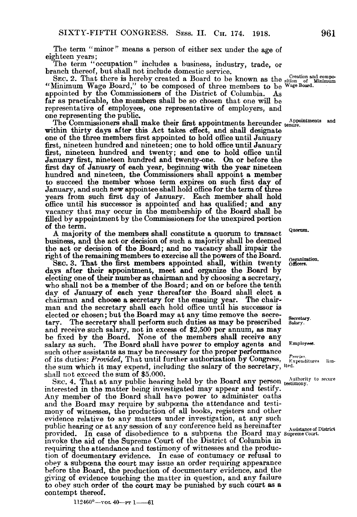The term "minor" means a person of either sex under the age of eighteen years;

The term "occupation" includes a business, industry, trade, or branch thereof, but shall not include domestic service.

SEC. 2. That there is hereby created a Board to be known as the  $\frac{C}{\text{relation of } \text{Mil}}$ "Minimum Wage Board," to be composed of three members to be Wage Board appointed by the Commissioners of the District of Columbia. As far as practicable, the members shall be so chosen that one will be representative of employees, one representative of employers, and one representing the public.

The Commissioners shall make their first appointments hereunder tenure. within thirty days after this Act takes effect, and shall designate one of the three members first appointed to hold office until January first, nineteen hundred and nineteen; one to hold office until January first, nineteen hundred and twenty; and one to hold office until January first, nineteen hundred and twenty-one. On or before the first day of January of each year, beginning with the year nineteen hundred and nineteen, the Commissioners shall appoint a member to succeed the member whose term expires on such first day of January, and such new appointee shall hold office for the term of three years from such first day of January. Each member shall hold office until his successor is appointed and has qualified; and any vacancy that may occur in the membership of the Board shall be filled by appointment by the Commissioners for the unexpired portion of the term.

A majority of the members shall constitute a quorum to transact Quorum. business, and the act or decision of such a majority shall be deemed the act or decision of the Board; and no vacancy shall impair the right of the remaining members to exercise all the powers of the Board.

ght of the remaining members to exercise all the powers of the Board. *Organization*. **SEC.** 3. That the first members appointed shall, within twenty officers. days after their appointment, meet and organize the Board by electing one of their number as chairman and by choosing a secretary, who shall not be a member of the Board; and on or before the tenth day of January of each year thereafter the Board shall elect a chairman and choose a secretary for the ensuing year. The chairman and the secretary shall each hold office until his successor is elected or chosen; but the Board may at any time remove the secretary. The secretary shall perform such duties as may be prescribed The secretary shall perform such duties as may be prescribed Salary. and receive such salary, not in excess of \$2,500 per annum, as may be fixed by the Board. None of the members shall receive any salary as such. The Board shall have power to employ agents and Employees such other assistants as may be necessary for the proper performance of its duties: *Provided*, That until further authorization by Congress, of its duties: *Provided*, That until further authorization by Congress, *Frogiso*, limthe sum which it may expend, including the salary of the secretary, ited. shall not exceed the sum of \$5.000.

SEC. 4. That at any public hearing held by the Board any person testimony. interested in the matter being investigated may appear and testify. Any member of the Board shall have power to administer oaths and the Board may require by subpoena the attendance and testimony of witnesses, the production of all books, registers and other evidence relative to any matters under investigation, at any such public hearing or at any session of any conference held as hereinafter Assistance of District provided. In case of disobedience to a subpoena the Board may supreme Court. invoke the aid of the Supreme Court of the District of Columbia in requiring the attendance and testimony of witnesses and the production of documentary evidence. In case of contumacy or refusal to obey a subpoena the court may issue an order requiring appearance before the Board, the production of documentary evidence, and the giving of evidence touching the matter in question, and any failure to obey such order of the court may be punished by such court as a contempt thereof.

 $112460^{\circ}$ -vol  $40$ -Pr 1-61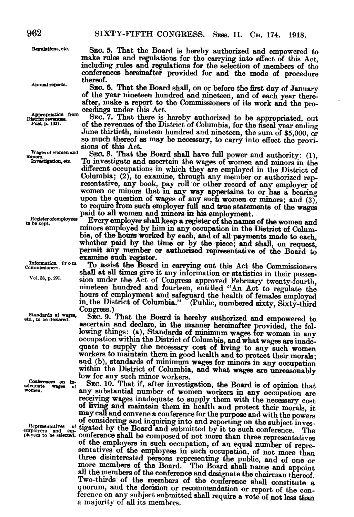Regulations, etc. SEC. 5. That the Board is hereby authorized and empowered to make rules and regulations for the carrying into effect of this Act, including rules and regulations for the selection of members of the conferences hereinafter provided for and the mode of procedure thereof.<br>Sec. 6. That the Board shall, on or before the first day of January

Annual reports. SEC. 6. That the Board shall, on or before the first day of January of the year nineteen hundred and nineteen, and of each year thereafter, make a report to the Commissioners of its work and the pro-<br>ceedings under this Act.

Appropriation from SEC. 7. That there is hereby authorized to be appropriated, out District revenues.<br>  $P_{\text{out, p. 1021}}$  of the revenues of the District of Columbia for the fixed reasonable of the revenues of the District of Columbia, for the fiscal year ending June thirtieth, nineteen hundred and nineteen, the sum of \$5,000, or so much thereof as may be necessary, to carry into effect the provi- sions of this Act.

Wages of women and SEC. 8. That the Board shall have full power and authority: (1), mixestigation, etc. To investigate and ascertain the wages of women and minors in the To investigate and ascertain the wages of women and minors in the different occupations in which they are employed in the District of Columbia; (2), to examine, through any member or authorized rep- resentative, any book, pay roll or other record of any employer of women or minors that in any way appertains to or has a bearing upon the question of wages of any such women or minors; and  $(3)$ . to require from such employer full and true statements of the wages paid to all women and minors in his employment.<br>to be kent. Every employer shall keep a register of the names of the women and

minors employed by him in any occupation in the District of Colum-<br>bia, of the hours worked by each, and of all payments made to each, whether paid by the time or by the piece; and shall, on request, permit any member or authorized representative of the Board to

examine such register.<br>To assist the Board in carrying out this Act the Commissioners Commissioners. To assist the Board in carrying out this Act the Commissioners shall at all times give it any information or statistics in their posses-<br>Vol. 38, p. 291. Sign under the Act of Congress approved February twen in the District of Columbia." (Public, numbered sixty, Sixty-third Congress.)

Standards of wages. SEC. 9. That the Board is hereby authorized and empowered to ascertain and declare, in the manner hereinafter provided, the fol-<br>lowing things: (a), Standards of minimum wages for women in any occupation within the District of Columbia, and what wages are inade-quate to supply the necessary cost of living to any such women workers to maintain them in good health and to protect their morals;<br>and (b), standards of minimum wages for minors in any occupation<br>within the District of Columbia, and what wages are unreasonably<br>low for any such minor

Conferences on in- $SEC.$  10. That if, after investigation, the Board is of opinion that any substantial number of women workers in any occupation are receiving wages inadequate to supply them with the necessary cost of lving and maintain them in health and protect their morals, it may call and convene a conference for the purpose and with the powers of considering and inquiring into and reporting on the subject inves-Representatives and sm. tigated by the Board and submitted by it to such conference. physics and employees to be selected. Conference shall be composed of not more than three representatives of the employees in such occupation, of an equal number of representatives of the employees in such occupation, of n three disinterested persons representing the public, and of one or more members of the Board. The Board shall name and appoint all the members of the conference and designate the chairman thereof. Two-thirds of the members of the conference shall constitute a quorum, and the decision or recommendation or report of the con- ference on any subject submitted shall require a vote of not less than a majority of all its members.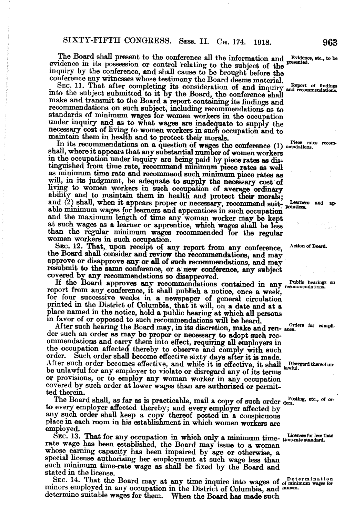The Board shall present to the conference all the information and Evidence, etc., to be evidence in its possession or control relating to the subject of the inquiry by the conference, and shall cause to be brought before t

SEC. 11. That after completing its consideration of and inquiry and recommendations.<br>Into the subject submitted to it by the Board, the conference shall make and transmit to the Board a report containing its findings and recommendations on such subject, including recommendations as to standards of minimum wages for women workers in the occupation under inquiry and as to what wages are inadequate to supply the necessary cost of living to women workers in such occupation and to maintain them in health and to protect their morals.

In its recommendations on a question of wages the conference (1) mendations. shall, where it appears that any substantial number of women workers in the occupation under inquiry are being paid by piece rates as distinguished from time rate, recommend minimum piece rates as well as minimum time rate and recommend such minimum piece rates as will, in its judgment, be adequate to supply the necessary cost of living to women workers in such occupation of average ordinary ability and to maintain them in health and protect their morals;<br>and (2) shall, when it appears proper or necessary, recommend suit-<br>able minimum wages for learners and apprentices in such occupation<br>and the maximum length

SEC. 12. That, upon receipt of any report from any conference, Action of Board.<br>the Board shall consider and review the recommendations, and may approve or disapprove any or all of such recommendations, and may

resubmit to the same conference, or a new conference, any subject<br>covered by any recommendations so disapproved.<br>If the Board approves any recommendations contained in any relation<br>report from any conference, it shall publ place named in the notice, hold a public hearing at which all persons m favor of or opposed to such recommendations will be heard.

After such hearing the Board may, in its discretion, make and ren- ance. der such an order as may be proper or necessary to adopt such recommendations and carry them into effect, requiring all employers in the occupation affected thereby to observe and comply with such order. Such order shall become effective sixty days after it is made. After such order becomes effective, and while it is effective, it shall lawful. Disregard thereof unbe unlawful for any employer to violate or disregard any of its terms or provisions, or to employ any woman worker in any occupation covered by such order at lower wages than are authorized or permit- ted therein.

The Board shall, as far as is practicable, mail a copy of such order  $_{\text{ders}}^{\text{Posting, etc., of}}$  or to every employer affected thereby; and every employer affected by any such order shall keep a copy thereof posted in a conspicuo employed.

SEC. 13. That for any occupation in which only a minimum time- time-rate standard.<br>rate wage has been established, the Board may issue to a woman whose earning capacity has been impaired by age or otherwise, a special license authorizing her employment at such wage less than such minimum time-rate wage as shall be fixed by the Board and stated in the license.

SEC. 14. That the Board may at any time inquire into wages of of minimum wages for minors employed in any occupation in the District of Columbia, and minors. determine suitable wages for them. When the Board has made such